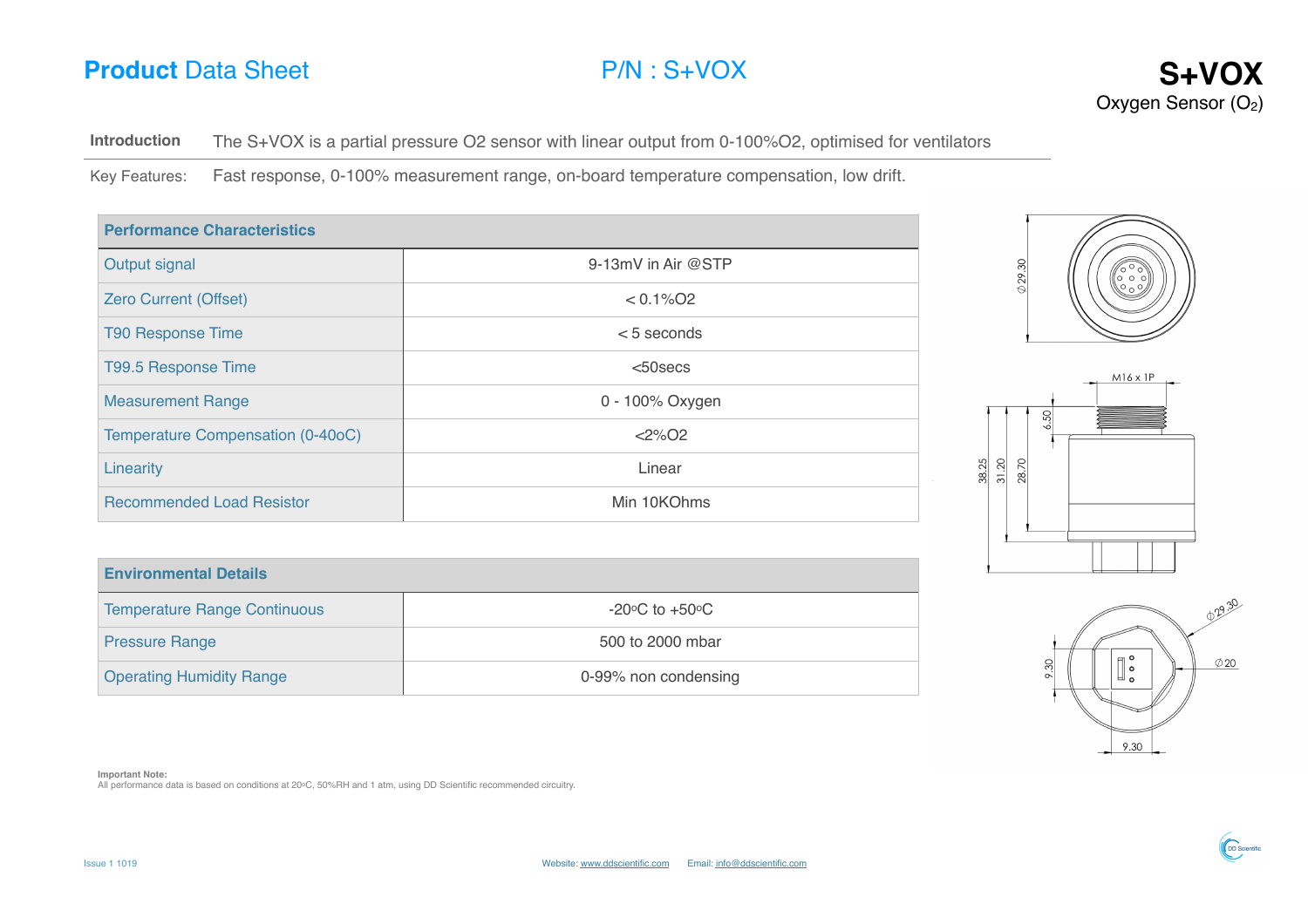# **Product** Data Sheet **P/N** : S+VOX **S+VOX**



**Introduction** The S+VOX is a partial pressure O2 sensor with linear output from 0-100%O2, optimised for ventilators

Key Features: Fast response, 0-100% measurement range, on-board temperature compensation, low drift.

| <b>Performance Characteristics</b> |                          |  |
|------------------------------------|--------------------------|--|
| Output signal                      | 9-13mV in Air @STP       |  |
| <b>Zero Current (Offset)</b>       | $< 0.1\%$ O <sub>2</sub> |  |
| <b>T90 Response Time</b>           | $< 5$ seconds            |  |
| T99.5 Response Time                | $50$ secs                |  |
| <b>Measurement Range</b>           | 0 - 100% Oxygen          |  |
| Temperature Compensation (0-40oC)  | $<$ 2%02                 |  |
| Linearity                          | Linear                   |  |
| <b>Recommended Load Resistor</b>   | Min 10KOhms              |  |





| <b>Environmental Details</b>        |                                    |
|-------------------------------------|------------------------------------|
| <b>Temperature Range Continuous</b> | $-20^{\circ}$ C to $+50^{\circ}$ C |
| <b>Pressure Range</b>               | 500 to 2000 mbar                   |
| <b>Operating Humidity Range</b>     | 0-99% non condensing               |

029.30  $\Big|\mathbb{I}\Big|_\circ^\circ$  $\emptyset$  20 9.30 9.30

**OD** Scientific

**Important Note:**

All performance data is based on conditions at 20oC, 50%RH and 1 atm, using DD Scientific recommended circuitry.